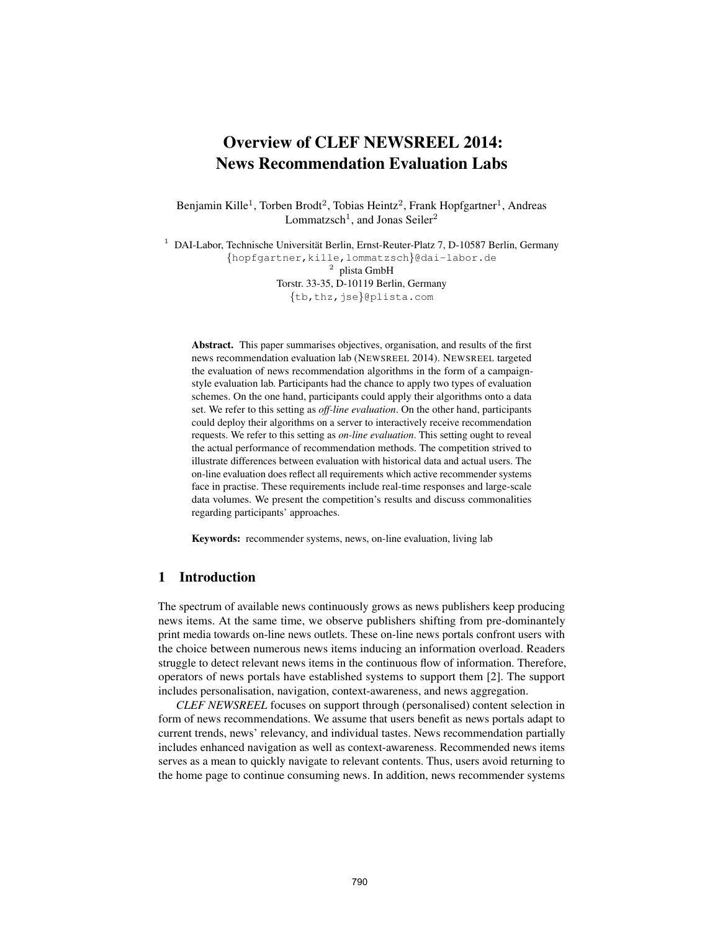# Overview of CLEF NEWSREEL 2014: News Recommendation Evaluation Labs

Benjamin Kille<sup>1</sup>, Torben Brodt<sup>2</sup>, Tobias Heintz<sup>2</sup>, Frank Hopfgartner<sup>1</sup>, Andreas Lommatzsch<sup>1</sup>, and Jonas Seiler<sup>2</sup>

<sup>1</sup> DAI-Labor, Technische Universität Berlin, Ernst-Reuter-Platz 7, D-10587 Berlin, Germany {hopfgartner,kille,lommatzsch}@dai-labor.de <sup>2</sup> plista GmbH Torstr. 33-35, D-10119 Berlin, Germany {tb,thz,jse}@plista.com

Abstract. This paper summarises objectives, organisation, and results of the first news recommendation evaluation lab (NEWSREEL 2014). NEWSREEL targeted the evaluation of news recommendation algorithms in the form of a campaignstyle evaluation lab. Participants had the chance to apply two types of evaluation schemes. On the one hand, participants could apply their algorithms onto a data set. We refer to this setting as *off-line evaluation*. On the other hand, participants could deploy their algorithms on a server to interactively receive recommendation requests. We refer to this setting as *on-line evaluation*. This setting ought to reveal the actual performance of recommendation methods. The competition strived to illustrate differences between evaluation with historical data and actual users. The on-line evaluation does reflect all requirements which active recommender systems face in practise. These requirements include real-time responses and large-scale data volumes. We present the competition's results and discuss commonalities regarding participants' approaches.

Keywords: recommender systems, news, on-line evaluation, living lab

## 1 Introduction

The spectrum of available news continuously grows as news publishers keep producing news items. At the same time, we observe publishers shifting from pre-dominantely print media towards on-line news outlets. These on-line news portals confront users with the choice between numerous news items inducing an information overload. Readers struggle to detect relevant news items in the continuous flow of information. Therefore, operators of news portals have established systems to support them [2]. The support includes personalisation, navigation, context-awareness, and news aggregation.

*CLEF NEWSREEL* focuses on support through (personalised) content selection in form of news recommendations. We assume that users benefit as news portals adapt to current trends, news' relevancy, and individual tastes. News recommendation partially includes enhanced navigation as well as context-awareness. Recommended news items serves as a mean to quickly navigate to relevant contents. Thus, users avoid returning to the home page to continue consuming news. In addition, news recommender systems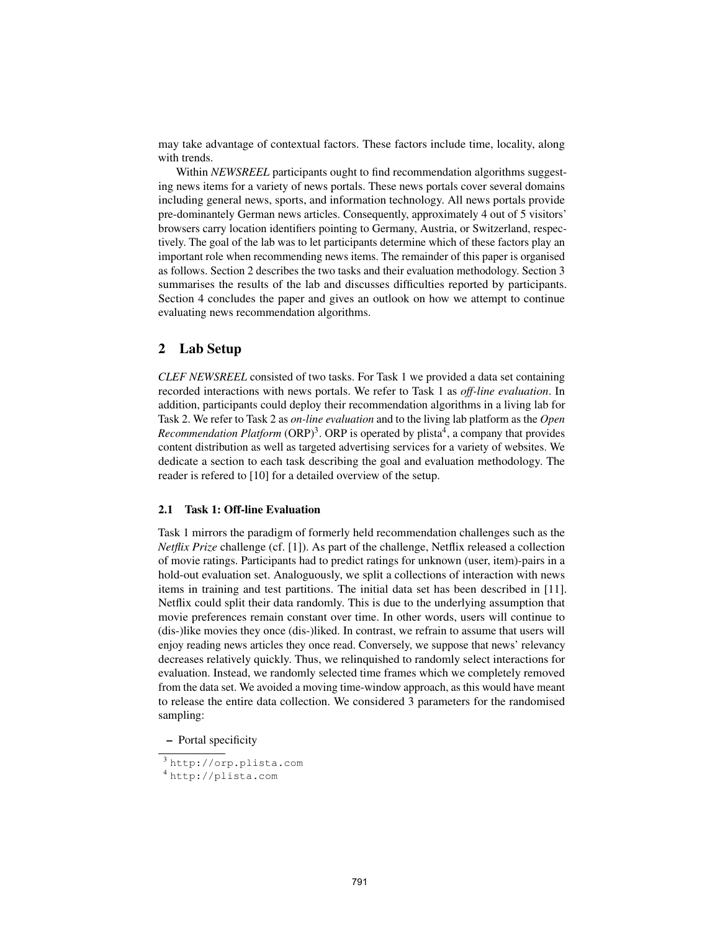may take advantage of contextual factors. These factors include time, locality, along with trends.

Within *NEWSREEL* participants ought to find recommendation algorithms suggesting news items for a variety of news portals. These news portals cover several domains including general news, sports, and information technology. All news portals provide pre-dominantely German news articles. Consequently, approximately 4 out of 5 visitors' browsers carry location identifiers pointing to Germany, Austria, or Switzerland, respectively. The goal of the lab was to let participants determine which of these factors play an important role when recommending news items. The remainder of this paper is organised as follows. Section 2 describes the two tasks and their evaluation methodology. Section 3 summarises the results of the lab and discusses difficulties reported by participants. Section 4 concludes the paper and gives an outlook on how we attempt to continue evaluating news recommendation algorithms.

## 2 Lab Setup

*CLEF NEWSREEL* consisted of two tasks. For Task 1 we provided a data set containing recorded interactions with news portals. We refer to Task 1 as *off-line evaluation*. In addition, participants could deploy their recommendation algorithms in a living lab for Task 2. We refer to Task 2 as *on-line evaluation* and to the living lab platform as the *Open Recommendation Platform* (ORP)<sup>3</sup>. ORP is operated by plista<sup>4</sup>, a company that provides content distribution as well as targeted advertising services for a variety of websites. We dedicate a section to each task describing the goal and evaluation methodology. The reader is refered to [10] for a detailed overview of the setup.

## 2.1 Task 1: Off-line Evaluation

Task 1 mirrors the paradigm of formerly held recommendation challenges such as the *Netflix Prize* challenge (cf. [1]). As part of the challenge, Netflix released a collection of movie ratings. Participants had to predict ratings for unknown (user, item)-pairs in a hold-out evaluation set. Analoguously, we split a collections of interaction with news items in training and test partitions. The initial data set has been described in [11]. Netflix could split their data randomly. This is due to the underlying assumption that movie preferences remain constant over time. In other words, users will continue to (dis-)like movies they once (dis-)liked. In contrast, we refrain to assume that users will enjoy reading news articles they once read. Conversely, we suppose that news' relevancy decreases relatively quickly. Thus, we relinquished to randomly select interactions for evaluation. Instead, we randomly selected time frames which we completely removed from the data set. We avoided a moving time-window approach, as this would have meant to release the entire data collection. We considered 3 parameters for the randomised sampling:

– Portal specificity

<sup>3</sup> http://orp.plista.com

<sup>4</sup> http://plista.com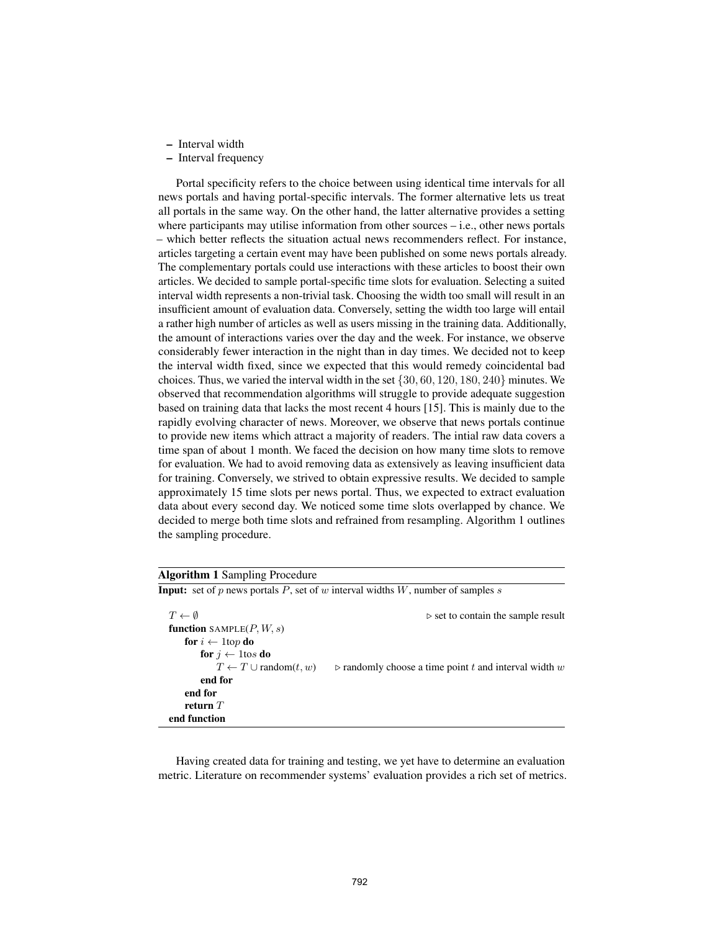- Interval width
- Interval frequency

Portal specificity refers to the choice between using identical time intervals for all news portals and having portal-specific intervals. The former alternative lets us treat all portals in the same way. On the other hand, the latter alternative provides a setting where participants may utilise information from other sources – i.e., other news portals – which better reflects the situation actual news recommenders reflect. For instance, articles targeting a certain event may have been published on some news portals already. The complementary portals could use interactions with these articles to boost their own articles. We decided to sample portal-specific time slots for evaluation. Selecting a suited interval width represents a non-trivial task. Choosing the width too small will result in an insufficient amount of evaluation data. Conversely, setting the width too large will entail a rather high number of articles as well as users missing in the training data. Additionally, the amount of interactions varies over the day and the week. For instance, we observe considerably fewer interaction in the night than in day times. We decided not to keep the interval width fixed, since we expected that this would remedy coincidental bad choices. Thus, we varied the interval width in the set  $\{30, 60, 120, 180, 240\}$  minutes. We observed that recommendation algorithms will struggle to provide adequate suggestion based on training data that lacks the most recent 4 hours [15]. This is mainly due to the rapidly evolving character of news. Moreover, we observe that news portals continue to provide new items which attract a majority of readers. The intial raw data covers a time span of about 1 month. We faced the decision on how many time slots to remove for evaluation. We had to avoid removing data as extensively as leaving insufficient data for training. Conversely, we strived to obtain expressive results. We decided to sample approximately 15 time slots per news portal. Thus, we expected to extract evaluation data about every second day. We noticed some time slots overlapped by chance. We decided to merge both time slots and refrained from resampling. Algorithm 1 outlines the sampling procedure.

| <b>Algorithm 1 Sampling Procedure</b>     |                                                                                        |
|-------------------------------------------|----------------------------------------------------------------------------------------|
|                                           | <b>Input:</b> set of p news portals P, set of w interval widths W, number of samples s |
| $T \leftarrow \emptyset$                  | $\triangleright$ set to contain the sample result                                      |
| <b>function</b> SAMPLE $(P, W, s)$        |                                                                                        |
| <b>for</b> $i \leftarrow 1$ top <b>do</b> |                                                                                        |
| for $j \leftarrow$ 1 tos do               |                                                                                        |
| $T \leftarrow T \cup \text{random}(t, w)$ | $\triangleright$ randomly choose a time point t and interval width w                   |
| end for                                   |                                                                                        |
| end for                                   |                                                                                        |
| return $T$                                |                                                                                        |
| end function                              |                                                                                        |

Having created data for training and testing, we yet have to determine an evaluation metric. Literature on recommender systems' evaluation provides a rich set of metrics.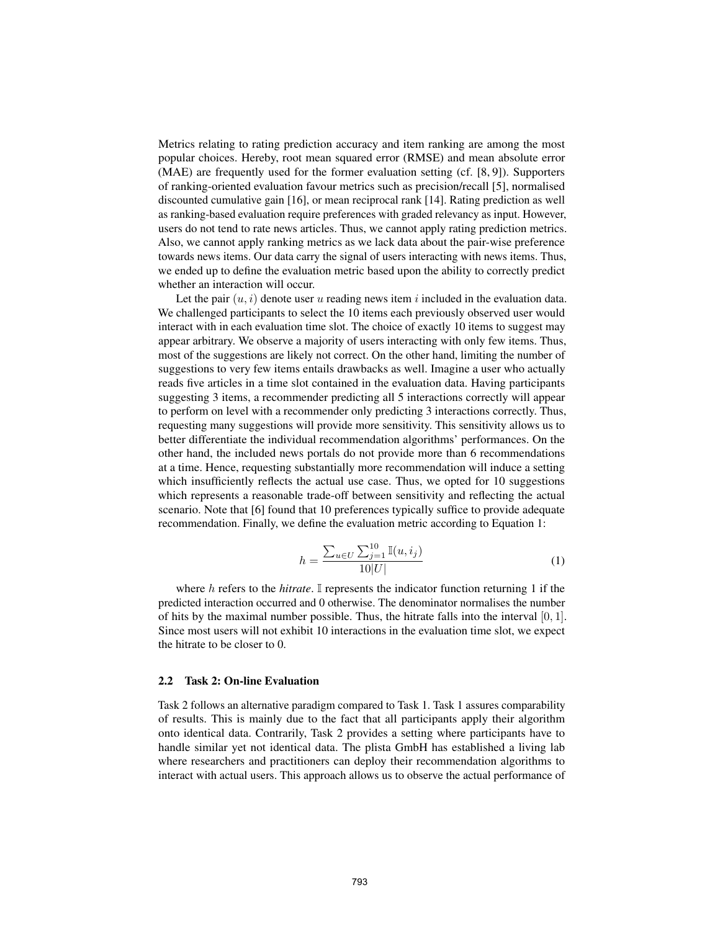Metrics relating to rating prediction accuracy and item ranking are among the most popular choices. Hereby, root mean squared error (RMSE) and mean absolute error (MAE) are frequently used for the former evaluation setting (cf. [8, 9]). Supporters of ranking-oriented evaluation favour metrics such as precision/recall [5], normalised discounted cumulative gain [16], or mean reciprocal rank [14]. Rating prediction as well as ranking-based evaluation require preferences with graded relevancy as input. However, users do not tend to rate news articles. Thus, we cannot apply rating prediction metrics. Also, we cannot apply ranking metrics as we lack data about the pair-wise preference towards news items. Our data carry the signal of users interacting with news items. Thus, we ended up to define the evaluation metric based upon the ability to correctly predict whether an interaction will occur.

Let the pair  $(u, i)$  denote user u reading news item i included in the evaluation data. We challenged participants to select the 10 items each previously observed user would interact with in each evaluation time slot. The choice of exactly 10 items to suggest may appear arbitrary. We observe a majority of users interacting with only few items. Thus, most of the suggestions are likely not correct. On the other hand, limiting the number of suggestions to very few items entails drawbacks as well. Imagine a user who actually reads five articles in a time slot contained in the evaluation data. Having participants suggesting 3 items, a recommender predicting all 5 interactions correctly will appear to perform on level with a recommender only predicting 3 interactions correctly. Thus, requesting many suggestions will provide more sensitivity. This sensitivity allows us to better differentiate the individual recommendation algorithms' performances. On the other hand, the included news portals do not provide more than 6 recommendations at a time. Hence, requesting substantially more recommendation will induce a setting which insufficiently reflects the actual use case. Thus, we opted for 10 suggestions which represents a reasonable trade-off between sensitivity and reflecting the actual scenario. Note that [6] found that 10 preferences typically suffice to provide adequate recommendation. Finally, we define the evaluation metric according to Equation 1:

$$
h = \frac{\sum_{u \in U} \sum_{j=1}^{10} \mathbb{I}(u, i_j)}{10|U|}
$$
 (1)

where h refers to the *hitrate*. I represents the indicator function returning 1 if the predicted interaction occurred and 0 otherwise. The denominator normalises the number of hits by the maximal number possible. Thus, the hitrate falls into the interval  $[0, 1]$ . Since most users will not exhibit 10 interactions in the evaluation time slot, we expect the hitrate to be closer to 0.

#### 2.2 Task 2: On-line Evaluation

Task 2 follows an alternative paradigm compared to Task 1. Task 1 assures comparability of results. This is mainly due to the fact that all participants apply their algorithm onto identical data. Contrarily, Task 2 provides a setting where participants have to handle similar yet not identical data. The plista GmbH has established a living lab where researchers and practitioners can deploy their recommendation algorithms to interact with actual users. This approach allows us to observe the actual performance of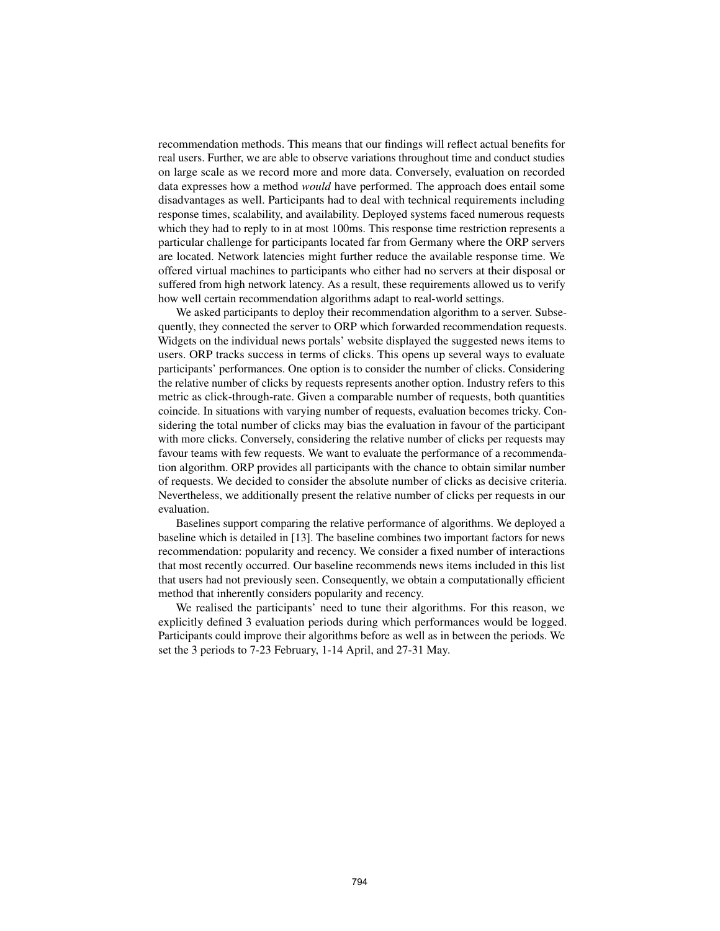recommendation methods. This means that our findings will reflect actual benefits for real users. Further, we are able to observe variations throughout time and conduct studies on large scale as we record more and more data. Conversely, evaluation on recorded data expresses how a method *would* have performed. The approach does entail some disadvantages as well. Participants had to deal with technical requirements including response times, scalability, and availability. Deployed systems faced numerous requests which they had to reply to in at most 100ms. This response time restriction represents a particular challenge for participants located far from Germany where the ORP servers are located. Network latencies might further reduce the available response time. We offered virtual machines to participants who either had no servers at their disposal or suffered from high network latency. As a result, these requirements allowed us to verify how well certain recommendation algorithms adapt to real-world settings.

We asked participants to deploy their recommendation algorithm to a server. Subsequently, they connected the server to ORP which forwarded recommendation requests. Widgets on the individual news portals' website displayed the suggested news items to users. ORP tracks success in terms of clicks. This opens up several ways to evaluate participants' performances. One option is to consider the number of clicks. Considering the relative number of clicks by requests represents another option. Industry refers to this metric as click-through-rate. Given a comparable number of requests, both quantities coincide. In situations with varying number of requests, evaluation becomes tricky. Considering the total number of clicks may bias the evaluation in favour of the participant with more clicks. Conversely, considering the relative number of clicks per requests may favour teams with few requests. We want to evaluate the performance of a recommendation algorithm. ORP provides all participants with the chance to obtain similar number of requests. We decided to consider the absolute number of clicks as decisive criteria. Nevertheless, we additionally present the relative number of clicks per requests in our evaluation.

Baselines support comparing the relative performance of algorithms. We deployed a baseline which is detailed in [13]. The baseline combines two important factors for news recommendation: popularity and recency. We consider a fixed number of interactions that most recently occurred. Our baseline recommends news items included in this list that users had not previously seen. Consequently, we obtain a computationally efficient method that inherently considers popularity and recency.

We realised the participants' need to tune their algorithms. For this reason, we explicitly defined 3 evaluation periods during which performances would be logged. Participants could improve their algorithms before as well as in between the periods. We set the 3 periods to 7-23 February, 1-14 April, and 27-31 May.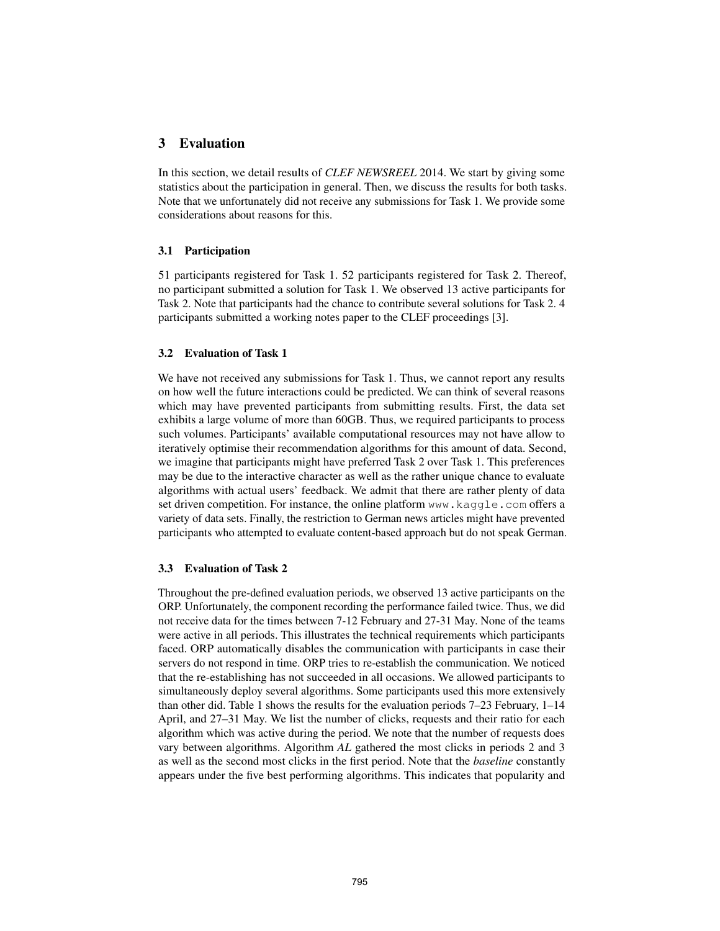## 3 Evaluation

In this section, we detail results of *CLEF NEWSREEL* 2014. We start by giving some statistics about the participation in general. Then, we discuss the results for both tasks. Note that we unfortunately did not receive any submissions for Task 1. We provide some considerations about reasons for this.

#### 3.1 Participation

51 participants registered for Task 1. 52 participants registered for Task 2. Thereof, no participant submitted a solution for Task 1. We observed 13 active participants for Task 2. Note that participants had the chance to contribute several solutions for Task 2. 4 participants submitted a working notes paper to the CLEF proceedings [3].

#### 3.2 Evaluation of Task 1

We have not received any submissions for Task 1. Thus, we cannot report any results on how well the future interactions could be predicted. We can think of several reasons which may have prevented participants from submitting results. First, the data set exhibits a large volume of more than 60GB. Thus, we required participants to process such volumes. Participants' available computational resources may not have allow to iteratively optimise their recommendation algorithms for this amount of data. Second, we imagine that participants might have preferred Task 2 over Task 1. This preferences may be due to the interactive character as well as the rather unique chance to evaluate algorithms with actual users' feedback. We admit that there are rather plenty of data set driven competition. For instance, the online platform www.kaggle.com offers a variety of data sets. Finally, the restriction to German news articles might have prevented participants who attempted to evaluate content-based approach but do not speak German.

### 3.3 Evaluation of Task 2

Throughout the pre-defined evaluation periods, we observed 13 active participants on the ORP. Unfortunately, the component recording the performance failed twice. Thus, we did not receive data for the times between 7-12 February and 27-31 May. None of the teams were active in all periods. This illustrates the technical requirements which participants faced. ORP automatically disables the communication with participants in case their servers do not respond in time. ORP tries to re-establish the communication. We noticed that the re-establishing has not succeeded in all occasions. We allowed participants to simultaneously deploy several algorithms. Some participants used this more extensively than other did. Table 1 shows the results for the evaluation periods 7–23 February, 1–14 April, and 27–31 May. We list the number of clicks, requests and their ratio for each algorithm which was active during the period. We note that the number of requests does vary between algorithms. Algorithm *AL* gathered the most clicks in periods 2 and 3 as well as the second most clicks in the first period. Note that the *baseline* constantly appears under the five best performing algorithms. This indicates that popularity and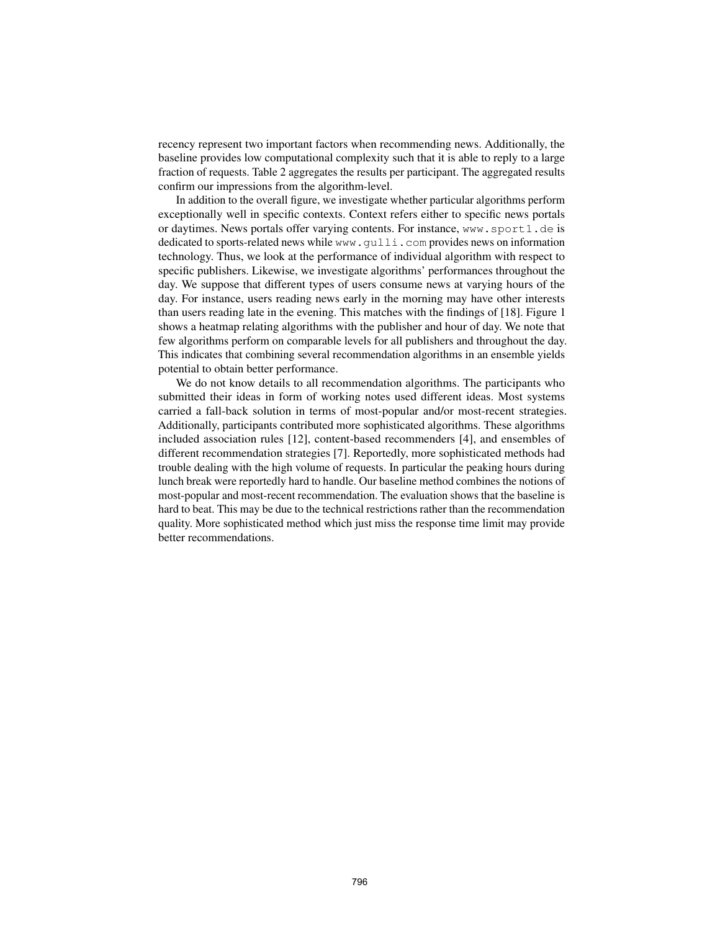recency represent two important factors when recommending news. Additionally, the baseline provides low computational complexity such that it is able to reply to a large fraction of requests. Table 2 aggregates the results per participant. The aggregated results confirm our impressions from the algorithm-level.

In addition to the overall figure, we investigate whether particular algorithms perform exceptionally well in specific contexts. Context refers either to specific news portals or daytimes. News portals offer varying contents. For instance, www.sport1.de is dedicated to sports-related news while www.gulli.com provides news on information technology. Thus, we look at the performance of individual algorithm with respect to specific publishers. Likewise, we investigate algorithms' performances throughout the day. We suppose that different types of users consume news at varying hours of the day. For instance, users reading news early in the morning may have other interests than users reading late in the evening. This matches with the findings of [18]. Figure 1 shows a heatmap relating algorithms with the publisher and hour of day. We note that few algorithms perform on comparable levels for all publishers and throughout the day. This indicates that combining several recommendation algorithms in an ensemble yields potential to obtain better performance.

We do not know details to all recommendation algorithms. The participants who submitted their ideas in form of working notes used different ideas. Most systems carried a fall-back solution in terms of most-popular and/or most-recent strategies. Additionally, participants contributed more sophisticated algorithms. These algorithms included association rules [12], content-based recommenders [4], and ensembles of different recommendation strategies [7]. Reportedly, more sophisticated methods had trouble dealing with the high volume of requests. In particular the peaking hours during lunch break were reportedly hard to handle. Our baseline method combines the notions of most-popular and most-recent recommendation. The evaluation shows that the baseline is hard to beat. This may be due to the technical restrictions rather than the recommendation quality. More sophisticated method which just miss the response time limit may provide better recommendations.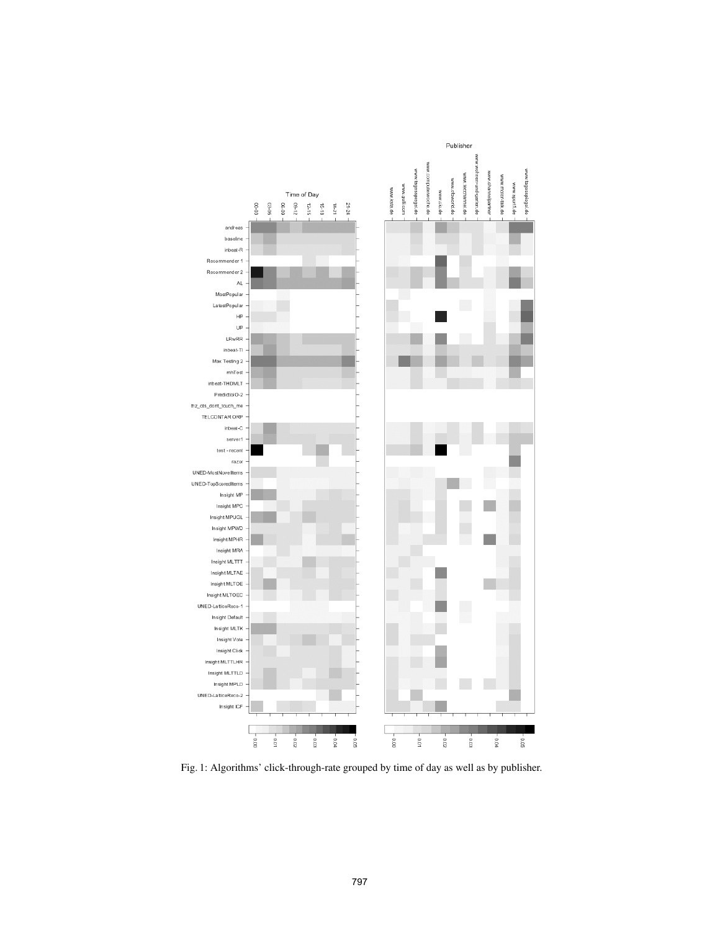

Fig. 1: Algorithms' click-through-rate grouped by time of day as well as by publisher.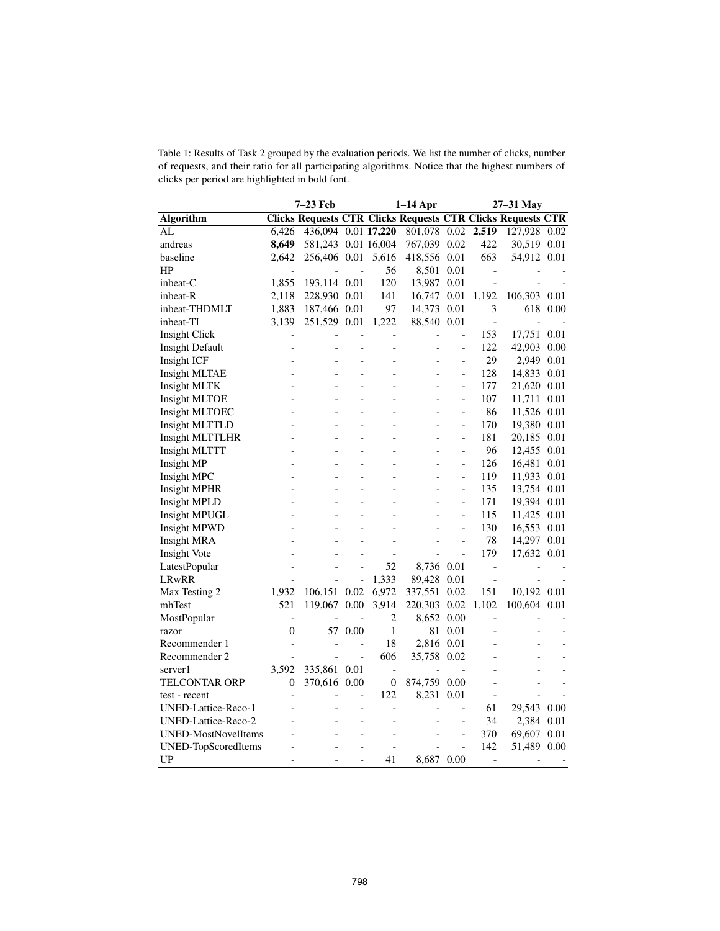| Table 1: Results of Task 2 grouped by the evaluation periods. We list the number of clicks, number |  |
|----------------------------------------------------------------------------------------------------|--|
| of requests, and their ratio for all participating algorithms. Notice that the highest numbers of  |  |
| clicks per period are highlighted in bold font.                                                    |  |

|                            | $1-14$ Apr<br>7-23 Feb |                     |                |                  | 27-31 May                                                          |                      |                          |              |      |
|----------------------------|------------------------|---------------------|----------------|------------------|--------------------------------------------------------------------|----------------------|--------------------------|--------------|------|
| <b>Algorithm</b>           |                        |                     |                |                  | <b>Clicks Requests CTR Clicks Requests CTR Clicks Requests CTR</b> |                      |                          |              |      |
| AL                         | 6,426                  | 436,094 0.01 17,220 |                |                  | $801,078$ 0.02                                                     |                      | 2,519                    | 127,928      | 0.02 |
| andreas                    | 8,649                  | 581,243 0.01 16,004 |                |                  | 767,039 0.02                                                       |                      | 422                      | 30,519 0.01  |      |
| baseline                   | 2,642                  | 256,406 0.01        |                | 5,616            | 418,556 0.01                                                       |                      | 663                      | 54,912 0.01  |      |
| HP                         |                        |                     |                | 56               | 8,501 0.01                                                         |                      | $\overline{\phantom{m}}$ |              |      |
| inbeat-C                   | 1,855                  | 193,114 0.01        |                | 120              | 13,987 0.01                                                        |                      | $\overline{a}$           |              |      |
| inbeat-R                   | 2,118                  | 228,930 0.01        |                | 141              | 16,747                                                             | 0.01                 | 1,192                    | 106,303 0.01 |      |
| inbeat-THDMLT              | 1,883                  | 187,466 0.01        |                | 97               | 14,373                                                             | 0.01                 | 3                        | 618          | 0.00 |
| inbeat-TI                  | 3,139                  | 251,529 0.01        |                | 1,222            | 88,540 0.01                                                        |                      | $\qquad \qquad -$        |              |      |
| Insight Click              |                        |                     |                |                  |                                                                    | $\overline{a}$       | 153                      | 17,751       | 0.01 |
| <b>Insight Default</b>     | Ē,                     |                     |                | -                |                                                                    | $\frac{1}{2}$        | 122                      | 42,903       | 0.00 |
| Insight ICF                |                        |                     |                | $\overline{a}$   |                                                                    | $\overline{a}$       | 29                       | 2,949        | 0.01 |
| <b>Insight MLTAE</b>       |                        |                     |                | $\overline{a}$   |                                                                    | $\frac{1}{2}$        | 128                      | 14,833       | 0.01 |
| Insight MLTK               |                        |                     | $\overline{a}$ | L,               | $\overline{a}$                                                     | $\overline{a}$       | 177                      | 21,620       | 0.01 |
| Insight MLTOE              |                        |                     | $\overline{a}$ | $\overline{a}$   | $\overline{a}$                                                     | $\qquad \qquad \Box$ | 107                      | 11,711       | 0.01 |
| Insight MLTOEC             |                        |                     |                |                  |                                                                    | $\overline{a}$       | 86                       | 11,526 0.01  |      |
| Insight MLTTLD             |                        |                     | $\overline{a}$ | L                |                                                                    | $\overline{a}$       | 170                      | 19,380 0.01  |      |
| <b>Insight MLTTLHR</b>     |                        |                     |                | $\overline{a}$   |                                                                    | $\qquad \qquad \Box$ | 181                      | 20,185       | 0.01 |
| Insight MLTTT              |                        |                     | $\overline{a}$ | $\overline{a}$   |                                                                    | $\overline{a}$       | 96                       | 12,455       | 0.01 |
| Insight MP                 |                        |                     | $\overline{a}$ | $\overline{a}$   | $\overline{a}$                                                     | $\overline{a}$       | 126                      | 16,481       | 0.01 |
| Insight MPC                |                        |                     | $\overline{a}$ | $\overline{a}$   |                                                                    | $\overline{a}$       | 119                      | 11,933       | 0.01 |
| Insight MPHR               |                        |                     |                |                  |                                                                    | $\overline{a}$       | 135                      | 13,754 0.01  |      |
| Insight MPLD               |                        |                     |                |                  |                                                                    | $\frac{1}{2}$        | 171                      | 19,394 0.01  |      |
| <b>Insight MPUGL</b>       |                        | L.                  | $\overline{a}$ | $\overline{a}$   | L.                                                                 | $\overline{a}$       | 115                      | 11,425 0.01  |      |
| Insight MPWD               |                        |                     |                | L,               |                                                                    | $\overline{a}$       | 130                      | 16,553 0.01  |      |
| <b>Insight MRA</b>         |                        |                     |                |                  |                                                                    | $\overline{a}$       | 78                       | 14,297       | 0.01 |
| Insight Vote               |                        |                     |                | $\overline{a}$   |                                                                    | $\qquad \qquad \Box$ | 179                      | 17,632 0.01  |      |
| LatestPopular              |                        |                     |                | 52               | 8,736 0.01                                                         |                      | $\overline{a}$           |              |      |
| LRwRR                      |                        |                     | $\overline{a}$ | 1,333            | 89,428                                                             | 0.01                 | $\qquad \qquad -$        |              |      |
| Max Testing 2              | 1,932                  | 106,151 0.02        |                | 6,972            | 337,551                                                            | 0.02                 | 151                      | 10,192 0.01  |      |
| mhTest                     | 521                    | 119,067             | 0.00           | 3,914            | 220,303 0.02                                                       |                      | 1,102                    | 100,604 0.01 |      |
| MostPopular                |                        |                     |                | 2                | 8,652 0.00                                                         |                      | $\overline{a}$           |              |      |
| razor                      | $\overline{0}$         |                     | 57 0.00        | $\mathbf{1}$     | 81                                                                 | 0.01                 | $\overline{a}$           |              |      |
| Recommender 1              | Ē,                     |                     | $\overline{a}$ | 18               | 2,816 0.01                                                         |                      | $\overline{a}$           |              |      |
| Recommender 2              |                        |                     | $\overline{a}$ | 606              | 35,758 0.02                                                        |                      |                          |              |      |
| server1                    | 3,592                  | 335,861 0.01        |                | $\overline{a}$   | $\overline{a}$                                                     |                      |                          |              |      |
| TELCONTAR ORP              | $\boldsymbol{0}$       | 370,616 0.00        |                | $\boldsymbol{0}$ | 874,759 0.00                                                       |                      | $\overline{a}$           |              |      |
| test - recent              |                        |                     | $\overline{a}$ | 122              | 8,231 0.01                                                         |                      | $\overline{\phantom{m}}$ |              |      |
| UNED-Lattice-Reco-1        |                        |                     |                | $\overline{a}$   |                                                                    |                      | 61                       | 29,543       | 0.00 |
| UNED-Lattice-Reco-2        |                        |                     | $\overline{a}$ | $\overline{a}$   |                                                                    | L,                   | 34                       | 2,384 0.01   |      |
| <b>UNED-MostNovelItems</b> |                        |                     |                | L,               |                                                                    | $\overline{a}$       | 370                      | 69,607       | 0.01 |
| UNED-TopScoredItems        |                        |                     |                |                  |                                                                    | $\overline{a}$       | 142                      | 51,489       | 0.00 |
| UP                         | L.                     | L,                  | $\overline{a}$ | 41               | 8,687 0.00                                                         |                      | $\overline{\phantom{a}}$ |              |      |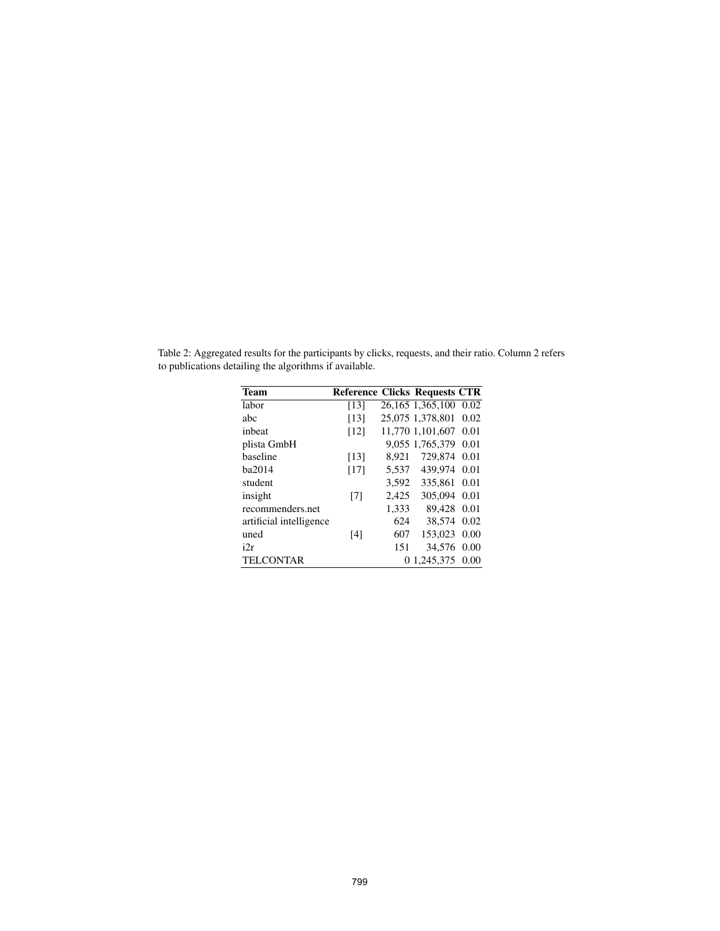| <b>Team</b>             | <b>Reference Clicks Requests CTR</b> |       |                  |      |
|-------------------------|--------------------------------------|-------|------------------|------|
| labor                   | [13]                                 |       | 26,165 1,365,100 | 0.02 |
| abc                     | [13]                                 |       | 25,075 1,378,801 | 0.02 |
| inbeat                  | [12]                                 |       | 11,770 1,101,607 | 0.01 |
| plista GmbH             |                                      |       | 9,055 1,765,379  | 0.01 |
| baseline                | [13]                                 | 8.921 | 729,874          | 0.01 |
| ba2014                  | [17]                                 | 5,537 | 439.974          | 0.01 |
| student                 |                                      | 3,592 | 335,861          | 0.01 |
| insight                 | [7]                                  | 2,425 | 305,094          | 0.01 |
| recommenders.net        |                                      | 1,333 | 89.428           | 0.01 |
| artificial intelligence |                                      | 624   | 38.574           | 0.02 |
| uned                    | [4]                                  | 607   | 153,023          | 0.00 |
| i2r                     |                                      | 151   | 34.576           | 0.00 |
| <b>TELCONTAR</b>        |                                      |       | 0 1,245,375      | 0.00 |

Table 2: Aggregated results for the participants by clicks, requests, and their ratio. Column 2 refers to publications detailing the algorithms if available.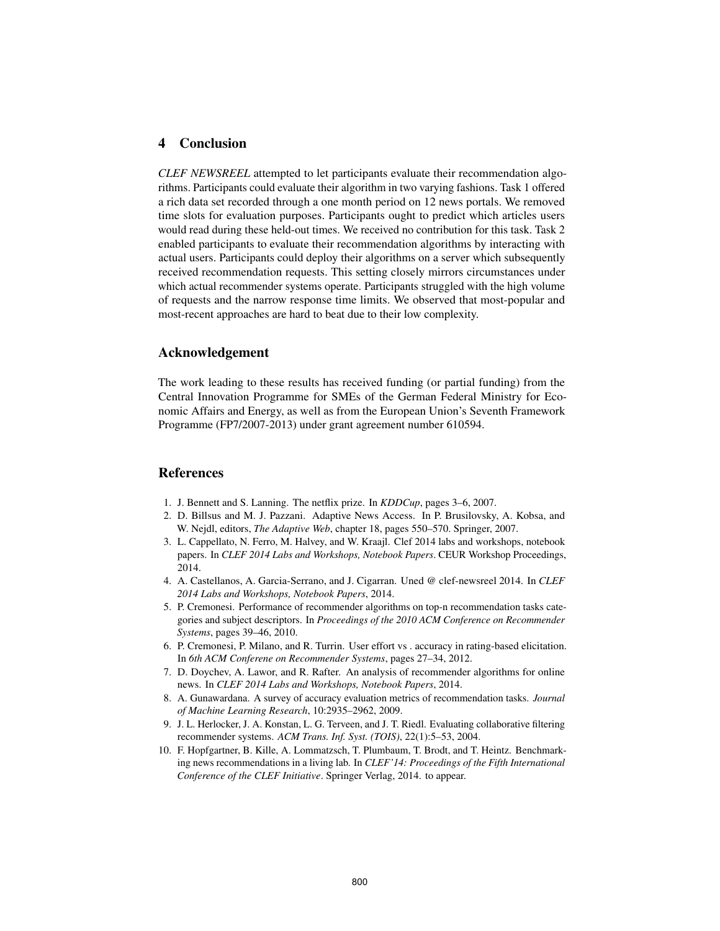## 4 Conclusion

*CLEF NEWSREEL* attempted to let participants evaluate their recommendation algorithms. Participants could evaluate their algorithm in two varying fashions. Task 1 offered a rich data set recorded through a one month period on 12 news portals. We removed time slots for evaluation purposes. Participants ought to predict which articles users would read during these held-out times. We received no contribution for this task. Task 2 enabled participants to evaluate their recommendation algorithms by interacting with actual users. Participants could deploy their algorithms on a server which subsequently received recommendation requests. This setting closely mirrors circumstances under which actual recommender systems operate. Participants struggled with the high volume of requests and the narrow response time limits. We observed that most-popular and most-recent approaches are hard to beat due to their low complexity.

### Acknowledgement

The work leading to these results has received funding (or partial funding) from the Central Innovation Programme for SMEs of the German Federal Ministry for Economic Affairs and Energy, as well as from the European Union's Seventh Framework Programme (FP7/2007-2013) under grant agreement number 610594.

## References

- 1. J. Bennett and S. Lanning. The netflix prize. In *KDDCup*, pages 3–6, 2007.
- 2. D. Billsus and M. J. Pazzani. Adaptive News Access. In P. Brusilovsky, A. Kobsa, and W. Nejdl, editors, *The Adaptive Web*, chapter 18, pages 550–570. Springer, 2007.
- 3. L. Cappellato, N. Ferro, M. Halvey, and W. Kraajl. Clef 2014 labs and workshops, notebook papers. In *CLEF 2014 Labs and Workshops, Notebook Papers*. CEUR Workshop Proceedings, 2014.
- 4. A. Castellanos, A. Garcia-Serrano, and J. Cigarran. Uned @ clef-newsreel 2014. In *CLEF 2014 Labs and Workshops, Notebook Papers*, 2014.
- 5. P. Cremonesi. Performance of recommender algorithms on top-n recommendation tasks categories and subject descriptors. In *Proceedings of the 2010 ACM Conference on Recommender Systems*, pages 39–46, 2010.
- 6. P. Cremonesi, P. Milano, and R. Turrin. User effort vs . accuracy in rating-based elicitation. In *6th ACM Conferene on Recommender Systems*, pages 27–34, 2012.
- 7. D. Doychev, A. Lawor, and R. Rafter. An analysis of recommender algorithms for online news. In *CLEF 2014 Labs and Workshops, Notebook Papers*, 2014.
- 8. A. Gunawardana. A survey of accuracy evaluation metrics of recommendation tasks. *Journal of Machine Learning Research*, 10:2935–2962, 2009.
- 9. J. L. Herlocker, J. A. Konstan, L. G. Terveen, and J. T. Riedl. Evaluating collaborative filtering recommender systems. *ACM Trans. Inf. Syst. (TOIS)*, 22(1):5–53, 2004.
- 10. F. Hopfgartner, B. Kille, A. Lommatzsch, T. Plumbaum, T. Brodt, and T. Heintz. Benchmarking news recommendations in a living lab. In *CLEF'14: Proceedings of the Fifth International Conference of the CLEF Initiative*. Springer Verlag, 2014. to appear.